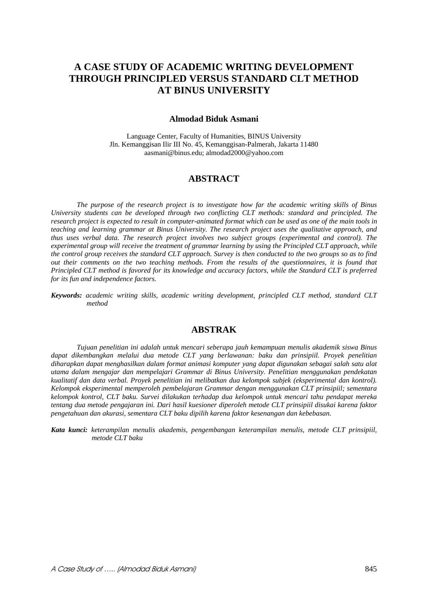# **A CASE STUDY OF ACADEMIC WRITING DEVELOPMENT THROUGH PRINCIPLED VERSUS STANDARD CLT METHOD AT BINUS UNIVERSITY**

## **Almodad Biduk Asmani**

Language Center, Faculty of Humanities, BINUS University Jln. Kemanggisan Ilir III No. 45, Kemanggisan-Palmerah, Jakarta 11480 aasmani@binus.edu; almodad2000@yahoo.com

## **ABSTRACT**

*The purpose of the research project is to investigate how far the academic writing skills of Binus University students can be developed through two conflicting CLT methods: standard and principled. The research project is expected to result in computer-animated format which can be used as one of the main tools in teaching and learning grammar at Binus University. The research project uses the qualitative approach, and thus uses verbal data. The research project involves two subject groups (experimental and control). The experimental group will receive the treatment of grammar learning by using the Principled CLT approach, while the control group receives the standard CLT approach. Survey is then conducted to the two groups so as to find out their comments on the two teaching methods. From the results of the questionnaires, it is found that Principled CLT method is favored for its knowledge and accuracy factors, while the Standard CLT is preferred for its fun and independence factors.* 

*Keywords: academic writing skills, academic writing development, principled CLT method, standard CLT method* 

## **ABSTRAK**

*Tujuan penelitian ini adalah untuk mencari seberapa jauh kemampuan menulis akademik siswa Binus dapat dikembangkan melalui dua metode CLT yang berlawanan: baku dan prinsipiil. Proyek penelitian diharapkan dapat menghasilkan dalam format animasi komputer yang dapat digunakan sebagai salah satu alat utama dalam mengajar dan mempelajari Grammar di Binus University. Penelitian menggunakan pendekatan kualitatif dan data verbal. Proyek penelitian ini melibatkan dua kelompok subjek (eksperimental dan kontrol). Kelompok eksperimental memperoleh pembelajaran Grammar dengan menggunakan CLT prinsipiil; sementara kelompok kontrol, CLT baku. Survei dilakukan terhadap dua kelompok untuk mencari tahu pendapat mereka tentang dua metode pengajaran ini. Dari hasil kuesioner diperoleh metode CLT prinsipiil disukai karena faktor pengetahuan dan akurasi, sementara CLT baku dipilih karena faktor kesenangan dan kebebasan.* 

*Kata kunci: keterampilan menulis akademis, pengembangan keterampilan menulis, metode CLT prinsipiil, metode CLT baku*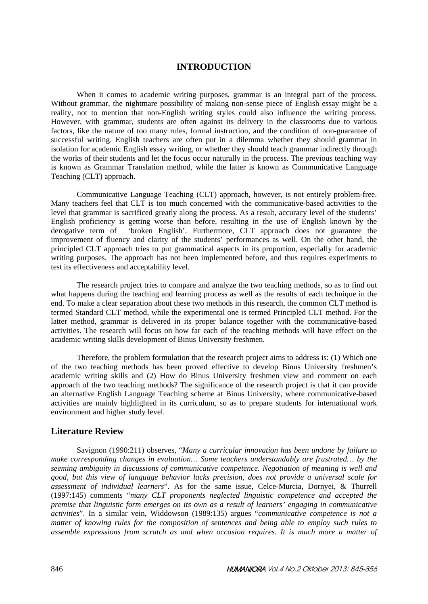# **INTRODUCTION**

When it comes to academic writing purposes, grammar is an integral part of the process. Without grammar, the nightmare possibility of making non-sense piece of English essay might be a reality, not to mention that non-English writing styles could also influence the writing process. However, with grammar, students are often against its delivery in the classrooms due to various factors, like the nature of too many rules, formal instruction, and the condition of non-guarantee of successful writing. English teachers are often put in a dilemma whether they should grammar in isolation for academic English essay writing, or whether they should teach grammar indirectly through the works of their students and let the focus occur naturally in the process. The previous teaching way is known as Grammar Translation method, while the latter is known as Communicative Language Teaching (CLT) approach.

Communicative Language Teaching (CLT) approach, however, is not entirely problem-free. Many teachers feel that CLT is too much concerned with the communicative-based activities to the level that grammar is sacrificed greatly along the process. As a result, accuracy level of the students' English proficiency is getting worse than before, resulting in the use of English known by the derogative term of 'broken English'. Furthermore, CLT approach does not guarantee the improvement of fluency and clarity of the students' performances as well. On the other hand, the principled CLT approach tries to put grammatical aspects in its proportion, especially for academic writing purposes. The approach has not been implemented before, and thus requires experiments to test its effectiveness and acceptability level.

The research project tries to compare and analyze the two teaching methods, so as to find out what happens during the teaching and learning process as well as the results of each technique in the end. To make a clear separation about these two methods in this research, the common CLT method is termed Standard CLT method, while the experimental one is termed Principled CLT method. For the latter method, grammar is delivered in its proper balance together with the communicative-based activities. The research will focus on how far each of the teaching methods will have effect on the academic writing skills development of Binus University freshmen.

Therefore, the problem formulation that the research project aims to address is: (1) Which one of the two teaching methods has been proved effective to develop Binus University freshmen's academic writing skills and (2) How do Binus University freshmen view and comment on each approach of the two teaching methods? The significance of the research project is that it can provide an alternative English Language Teaching scheme at Binus University, where communicative-based activities are mainly highlighted in its curriculum, so as to prepare students for international work environment and higher study level.

## **Literature Review**

Savignon (1990:211) observes, "*Many a curricular innovation has been undone by failure to make corresponding changes in evaluation… Some teachers understandably are frustrated… by the seeming ambiguity in discussions of communicative competence. Negotiation of meaning is well and good, but this view of language behavior lacks precision, does not provide a universal scale for assessment of individual learners*". As for the same issue, Celce-Murcia, Dornyei, & Thurrell (1997:145) comments "*many CLT proponents neglected linguistic competence and accepted the premise that linguistic form emerges on its own as a result of learners' engaging in communicative activities*". In a similar vein, Widdowson (1989:135) argues "*communicative competence is not a matter of knowing rules for the composition of sentences and being able to employ such rules to assemble expressions from scratch as and when occasion requires. It is much more a matter of*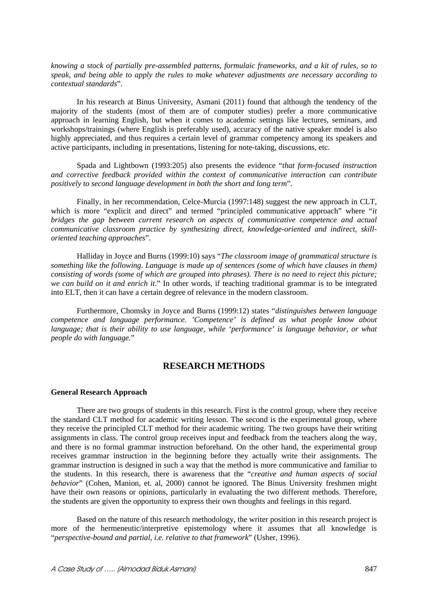*knowing a stock of partially pre-assembled patterns, formulaic frameworks, and a kit of rules, so to speak, and being able to apply the rules to make whatever adjustments are necessary according to contextual standards*".

In his research at Binus University, Asmani (2011) found that although the tendency of the majority of the students (most of them are of computer studies) prefer a more communicative approach in learning English, but when it comes to academic settings like lectures, seminars, and workshops/trainings (where English is preferably used), accuracy of the native speaker model is also highly appreciated, and thus requires a certain level of grammar competency among its speakers and active participants, including in presentations, listening for note-taking, discussions, etc.

Spada and Lightbown (1993:205) also presents the evidence "*that form-focused instruction and corrective feedback provided within the context of communicative interaction can contribute positively to second language development in both the short and long term*".

Finally, in her recommendation, Celce-Murcia (1997:148) suggest the new approach in CLT, which is more "explicit and direct" and termed "principled communicative approach" where "*it bridges the gap between current research on aspects of communicative competence and actual communicative classroom practice by synthesizing direct, knowledge-oriented and indirect, skilloriented teaching approaches*".

Halliday in Joyce and Burns (1999:10) says "*The classroom image of grammatical structure is something like the following. Language is made up of sentences (some of which have clauses in them) consisting of words (some of which are grouped into phrases). There is no need to reject this picture; we can build on it and enrich it*." In other words, if teaching traditional grammar is to be integrated into ELT, then it can have a certain degree of relevance in the modern classroom.

Furthermore, Chomsky in Joyce and Burns (1999:12) states "*distinguishes between language competence and language performance. 'Competence' is defined as what people know about language; that is their ability to use language, while 'performance' is language behavior, or what people do with language.*"

# **RESEARCH METHODS**

### **General Research Approach**

There are two groups of students in this research. First is the control group, where they receive the standard CLT method for academic writing lesson. The second is the experimental group, where they receive the principled CLT method for their academic writing. The two groups have their writing assignments in class. The control group receives input and feedback from the teachers along the way, and there is no formal grammar instruction beforehand. On the other hand, the experimental group receives grammar instruction in the beginning before they actually write their assignments. The grammar instruction is designed in such a way that the method is more communicative and familiar to the students. In this research, there is awareness that the "*creative and human aspects of social behavior*" (Cohen, Manion, et. al, 2000) cannot be ignored. The Binus University freshmen might have their own reasons or opinions, particularly in evaluating the two different methods. Therefore, the students are given the opportunity to express their own thoughts and feelings in this regard.

Based on the nature of this research methodology, the writer position in this research project is more of the hermeneutic/interpretive epistemology where it assumes that all knowledge is "*perspective-bound and partial, i.e. relative to that framework*" (Usher, 1996).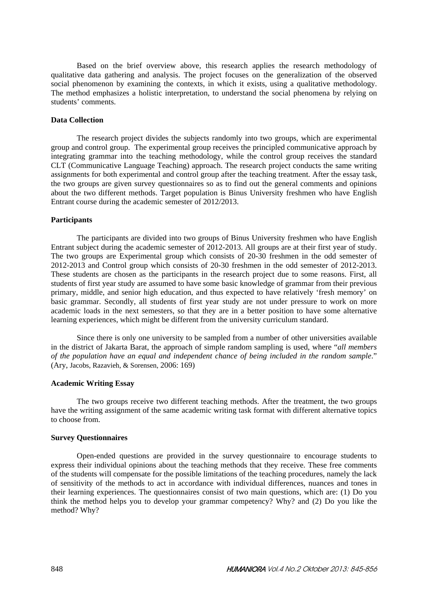Based on the brief overview above, this research applies the research methodology of qualitative data gathering and analysis. The project focuses on the generalization of the observed social phenomenon by examining the contexts, in which it exists, using a qualitative methodology. The method emphasizes a holistic interpretation, to understand the social phenomena by relying on students' comments.

## **Data Collection**

The research project divides the subjects randomly into two groups, which are experimental group and control group. The experimental group receives the principled communicative approach by integrating grammar into the teaching methodology, while the control group receives the standard CLT (Communicative Language Teaching) approach. The research project conducts the same writing assignments for both experimental and control group after the teaching treatment. After the essay task, the two groups are given survey questionnaires so as to find out the general comments and opinions about the two different methods. Target population is Binus University freshmen who have English Entrant course during the academic semester of 2012/2013.

### **Participants**

The participants are divided into two groups of Binus University freshmen who have English Entrant subject during the academic semester of 2012-2013. All groups are at their first year of study. The two groups are Experimental group which consists of 20-30 freshmen in the odd semester of 2012-2013 and Control group which consists of 20-30 freshmen in the odd semester of 2012-2013. These students are chosen as the participants in the research project due to some reasons. First, all students of first year study are assumed to have some basic knowledge of grammar from their previous primary, middle, and senior high education, and thus expected to have relatively 'fresh memory' on basic grammar. Secondly, all students of first year study are not under pressure to work on more academic loads in the next semesters, so that they are in a better position to have some alternative learning experiences, which might be different from the university curriculum standard.

Since there is only one university to be sampled from a number of other universities available in the district of Jakarta Barat, the approach of simple random sampling is used, where "*all members of the population have an equal and independent chance of being included in the random sample*." (Ary, Jacobs, Razavieh, & Sorensen, 2006: 169)

#### **Academic Writing Essay**

The two groups receive two different teaching methods. After the treatment, the two groups have the writing assignment of the same academic writing task format with different alternative topics to choose from.

### **Survey Questionnaires**

Open-ended questions are provided in the survey questionnaire to encourage students to express their individual opinions about the teaching methods that they receive. These free comments of the students will compensate for the possible limitations of the teaching procedures, namely the lack of sensitivity of the methods to act in accordance with individual differences, nuances and tones in their learning experiences. The questionnaires consist of two main questions, which are: (1) Do you think the method helps you to develop your grammar competency? Why? and (2) Do you like the method? Why?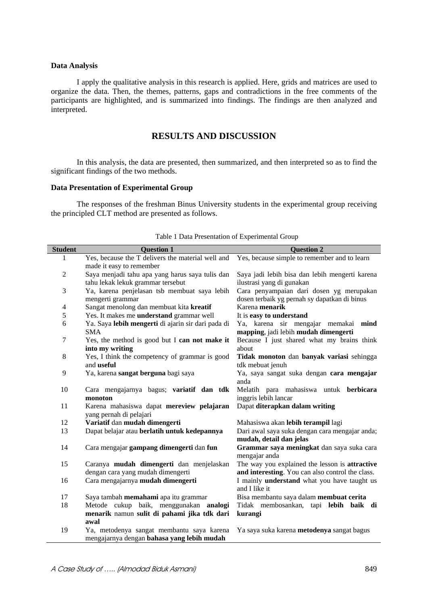### **Data Analysis**

I apply the qualitative analysis in this research is applied. Here, grids and matrices are used to organize the data. Then, the themes, patterns, gaps and contradictions in the free comments of the participants are highlighted, and is summarized into findings. The findings are then analyzed and interpreted.

# **RESULTS AND DISCUSSION**

In this analysis, the data are presented, then summarized, and then interpreted so as to find the significant findings of the two methods.

## **Data Presentation of Experimental Group**

The responses of the freshman Binus University students in the experimental group receiving the principled CLT method are presented as follows.

| <b>Student</b> | <b>Question 1</b>                                  | <b>Question 2</b>                                  |
|----------------|----------------------------------------------------|----------------------------------------------------|
| 1              | Yes, because the T delivers the material well and  | Yes, because simple to remember and to learn       |
|                | made it easy to remember                           |                                                    |
| $\overline{c}$ | Saya menjadi tahu apa yang harus saya tulis dan    | Saya jadi lebih bisa dan lebih mengerti karena     |
|                | tahu lekak lekuk grammar tersebut                  | ilustrasi yang di gunakan                          |
| 3              | Ya, karena penjelasan tsb membuat saya lebih       | Cara penyampaian dari dosen yg merupakan           |
|                | mengerti grammar                                   | dosen terbaik yg pernah sy dapatkan di binus       |
| 4              | Sangat menolong dan membuat kita kreatif           | Karena <b>menarik</b>                              |
| 5              | Yes. It makes me <b>understand</b> grammar well    | It is easy to understand                           |
| 6              | Ya. Saya lebih mengerti di ajarin sir dari pada di | Ya, karena sir mengajar memakai mind               |
|                | <b>SMA</b>                                         | mapping, jadi lebih mudah dimengerti               |
| 7              | Yes, the method is good but I can not make it      | Because I just shared what my brains think         |
|                | into my writing                                    | about                                              |
| 8              | Yes, I think the competency of grammar is good     | Tidak monoton dan banyak variasi sehingga          |
|                | and useful                                         | tdk mebuat jenuh                                   |
| 9              | Ya, karena sangat berguna bagi saya                | Ya, saya sangat suka dengan cara mengajar<br>anda  |
| 10             | Cara mengajarnya bagus; variatif dan tdk           | Melatih para mahasiswa untuk berbicara             |
|                | monoton                                            | inggris lebih lancar                               |
| 11             | Karena mahasiswa dapat mereview pelajaran          | Dapat diterapkan dalam writing                     |
|                | yang pernah di pelajari                            |                                                    |
| 12             | Variatif dan mudah dimengerti                      | Mahasiswa akan lebih terampil lagi                 |
| 13             | Dapat belajar atau berlatih untuk kedepannya       | Dari awal saya suka dengan cara mengajar anda;     |
|                |                                                    | mudah, detail dan jelas                            |
| 14             | Cara mengajar gampang dimengerti dan fun           | Grammar saya meningkat dan saya suka cara          |
|                |                                                    | mengajar anda                                      |
| 15             | Caranya mudah dimengerti dan menjelaskan           | The way you explained the lesson is attractive     |
|                | dengan cara yang mudah dimengerti                  | and interesting. You can also control the class.   |
| 16             | Cara mengajarnya mudah dimengerti                  | I mainly <b>understand</b> what you have taught us |
|                |                                                    | and I like it                                      |
| 17             | Saya tambah memahami apa itu grammar               | Bisa membantu saya dalam membuat cerita            |
| 18             | Metode cukup baik, menggunakan analogi             | Tidak membosankan, tapi lebih baik di              |
|                | menarik namun sulit di pahami jika tdk dari        | kurangi                                            |
|                | awal                                               |                                                    |
| 19             | Ya, metodenya sangat membantu saya karena          | Ya saya suka karena metodenya sangat bagus         |
|                | mengajarnya dengan bahasa yang lebih mudah         |                                                    |

Table 1 Data Presentation of Experimental Group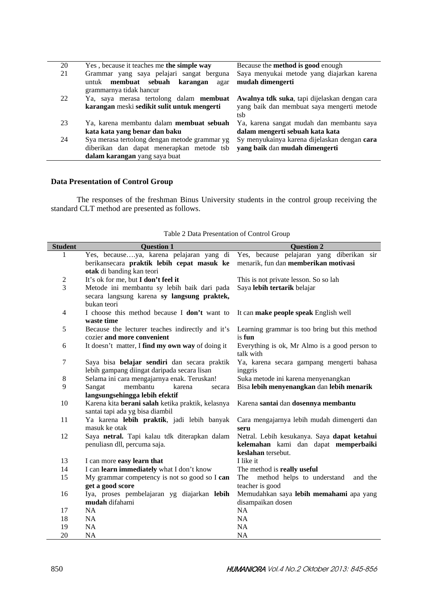| 20 | Yes, because it teaches me the simple way       | Because the <b>method</b> is good enough      |
|----|-------------------------------------------------|-----------------------------------------------|
| 21 | Grammar yang saya pelajari sangat berguna       | Saya menyukai metode yang diajarkan karena    |
|    | untuk membuat sebuah<br>karangan<br>agar        | mudah dimengerti                              |
|    | grammarnya tidak hancur                         |                                               |
| 22 | Ya, saya merasa tertolong dalam <b>membuat</b>  | Awalnya tdk suka, tapi dijelaskan dengan cara |
|    | karangan meski sedikit sulit untuk mengerti     | yang baik dan membuat saya mengerti metode    |
|    |                                                 | tsb                                           |
| 23 | Ya, karena membantu dalam <b>membuat sebuah</b> | Ya, karena sangat mudah dan membantu saya     |
|    | kata kata yang benar dan baku                   | dalam mengerti sebuah kata kata               |
| 24 | Sya merasa tertolong dengan metode grammar yg   | Sy menyukainya karena dijelaskan dengan cara  |
|    | diberikan dan dapat menerapkan metode tsb       | yang baik dan mudah dimengerti                |
|    | dalam karangan yang saya buat                   |                                               |

# **Data Presentation of Control Group**

The responses of the freshman Binus University students in the control group receiving the standard CLT method are presented as follows.

| <b>Student</b> | <b>Question 1</b>                                                                    | <b>Question 2</b>                                          |
|----------------|--------------------------------------------------------------------------------------|------------------------------------------------------------|
| 1              | Yes, becauseya, karena pelajaran yang di                                             | Yes, because pelajaran yang diberikan sir                  |
|                | berikansecara praktik lebih cepat masuk ke                                           | menarik, fun dan memberikan motivasi                       |
|                | otak di banding kan teori                                                            |                                                            |
| $\overline{c}$ | It's ok for me, but I don't feel it                                                  | This is not private lesson. So so lah                      |
| 3              | Metode ini membantu sy lebih baik dari pada                                          | Saya lebih tertarik belajar                                |
|                | secara langsung karena sy langsung praktek,                                          |                                                            |
|                | bukan teori                                                                          |                                                            |
| 4              | I choose this method because I don't want to                                         | It can make people speak English well                      |
|                | waste time                                                                           |                                                            |
| 5              | Because the lecturer teaches indirectly and it's                                     | Learning grammar is too bring but this method              |
|                | cozier and more convenient                                                           | is fun                                                     |
| 6              | It doesn't matter, I find my own way of doing it                                     | Everything is ok, Mr Almo is a good person to<br>talk with |
| 7              | Saya bisa belajar sendiri dan secara praktik                                         | Ya, karena secara gampang mengerti bahasa                  |
|                | lebih gampang diingat daripada secara lisan                                          | inggris                                                    |
| 8              | Selama ini cara mengajarnya enak. Teruskan!                                          | Suka metode ini karena menyenangkan                        |
| 9              | membantu<br>Sangat<br>karena<br>secara                                               | Bisa lebih menyenangkan dan lebih menarik                  |
|                | langsungsehingga lebih efektif                                                       |                                                            |
| 10             | Karena kita berani salah ketika praktik, kelasnya<br>santai tapi ada yg bisa diambil | Karena santai dan dosennya membantu                        |
| 11             | Ya karena lebih praktik, jadi lebih banyak                                           | Cara mengajarnya lebih mudah dimengerti dan                |
|                | masuk ke otak                                                                        | seru                                                       |
| 12             | Saya netral. Tapi kalau tdk diterapkan dalam                                         | Netral. Lebih kesukanya. Saya dapat ketahui                |
|                | penuliasn dll, percuma saja.                                                         | kelemahan kami dan dapat memperbaiki                       |
|                |                                                                                      | keslahan tersebut.                                         |
| 13             | I can more easy learn that                                                           | I like it                                                  |
| 14             | I can learn immediately what I don't know                                            | The method is really useful                                |
| 15             | My grammar competency is not so good so I can                                        | method helps to understand<br>The<br>and the               |
|                | get a good score                                                                     | teacher is good                                            |
| 16             | Iya, proses pembelajaran yg diajarkan lebih                                          | Memudahkan saya lebih memahami apa yang                    |
|                | mudah difahami                                                                       | disampaikan dosen                                          |
| 17             | <b>NA</b>                                                                            | NA                                                         |
| 18             | <b>NA</b>                                                                            | <b>NA</b>                                                  |
| 19             | NA                                                                                   | NA                                                         |
| 20             | <b>NA</b>                                                                            | <b>NA</b>                                                  |

Table 2 Data Presentation of Control Group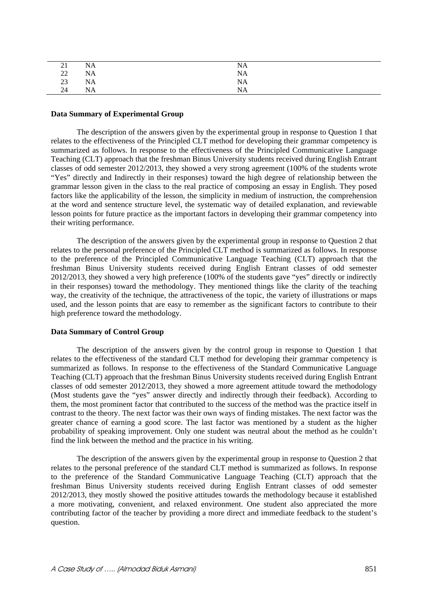| $\sim$ 1<br>41 | $\rm NA$  | <b>NA</b> |  |
|----------------|-----------|-----------|--|
| $22\,$         | <b>NA</b> | $NA$ $NA$ |  |
| 23             | <b>NA</b> |           |  |
| 24             | <b>NA</b> | NA        |  |

### **Data Summary of Experimental Group**

The description of the answers given by the experimental group in response to Question 1 that relates to the effectiveness of the Principled CLT method for developing their grammar competency is summarized as follows. In response to the effectiveness of the Principled Communicative Language Teaching (CLT) approach that the freshman Binus University students received during English Entrant classes of odd semester 2012/2013, they showed a very strong agreement (100% of the students wrote "Yes" directly and Indirectly in their responses) toward the high degree of relationship between the grammar lesson given in the class to the real practice of composing an essay in English. They posed factors like the applicability of the lesson, the simplicity in medium of instruction, the comprehension at the word and sentence structure level, the systematic way of detailed explanation, and reviewable lesson points for future practice as the important factors in developing their grammar competency into their writing performance.

The description of the answers given by the experimental group in response to Question 2 that relates to the personal preference of the Principled CLT method is summarized as follows. In response to the preference of the Principled Communicative Language Teaching (CLT) approach that the freshman Binus University students received during English Entrant classes of odd semester 2012/2013, they showed a very high preference (100% of the students gave "yes" directly or indirectly in their responses) toward the methodology. They mentioned things like the clarity of the teaching way, the creativity of the technique, the attractiveness of the topic, the variety of illustrations or maps used, and the lesson points that are easy to remember as the significant factors to contribute to their high preference toward the methodology.

### **Data Summary of Control Group**

The description of the answers given by the control group in response to Question 1 that relates to the effectiveness of the standard CLT method for developing their grammar competency is summarized as follows. In response to the effectiveness of the Standard Communicative Language Teaching (CLT) approach that the freshman Binus University students received during English Entrant classes of odd semester 2012/2013, they showed a more agreement attitude toward the methodology (Most students gave the "yes" answer directly and indirectly through their feedback). According to them, the most prominent factor that contributed to the success of the method was the practice itself in contrast to the theory. The next factor was their own ways of finding mistakes. The next factor was the greater chance of earning a good score. The last factor was mentioned by a student as the higher probability of speaking improvement. Only one student was neutral about the method as he couldn't find the link between the method and the practice in his writing.

The description of the answers given by the experimental group in response to Question 2 that relates to the personal preference of the standard CLT method is summarized as follows. In response to the preference of the Standard Communicative Language Teaching (CLT) approach that the freshman Binus University students received during English Entrant classes of odd semester 2012/2013, they mostly showed the positive attitudes towards the methodology because it established a more motivating, convenient, and relaxed environment. One student also appreciated the more contributing factor of the teacher by providing a more direct and immediate feedback to the student's question.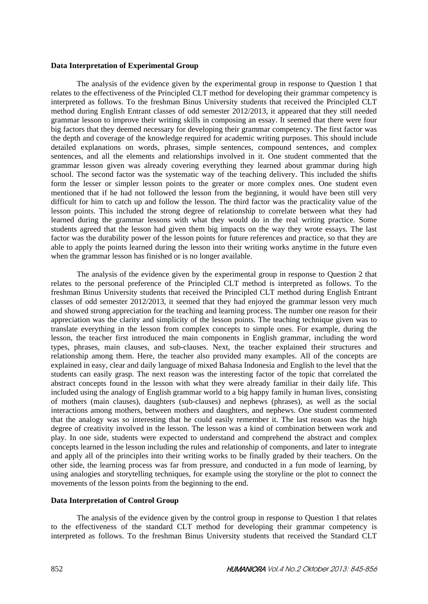### **Data Interpretation of Experimental Group**

The analysis of the evidence given by the experimental group in response to Question 1 that relates to the effectiveness of the Principled CLT method for developing their grammar competency is interpreted as follows. To the freshman Binus University students that received the Principled CLT method during English Entrant classes of odd semester 2012/2013, it appeared that they still needed grammar lesson to improve their writing skills in composing an essay. It seemed that there were four big factors that they deemed necessary for developing their grammar competency. The first factor was the depth and coverage of the knowledge required for academic writing purposes. This should include detailed explanations on words, phrases, simple sentences, compound sentences, and complex sentences, and all the elements and relationships involved in it. One student commented that the grammar lesson given was already covering everything they learned about grammar during high school. The second factor was the systematic way of the teaching delivery. This included the shifts form the lesser or simpler lesson points to the greater or more complex ones. One student even mentioned that if he had not followed the lesson from the beginning, it would have been still very difficult for him to catch up and follow the lesson. The third factor was the practicality value of the lesson points. This included the strong degree of relationship to correlate between what they had learned during the grammar lessons with what they would do in the real writing practice. Some students agreed that the lesson had given them big impacts on the way they wrote essays. The last factor was the durability power of the lesson points for future references and practice, so that they are able to apply the points learned during the lesson into their writing works anytime in the future even when the grammar lesson has finished or is no longer available.

The analysis of the evidence given by the experimental group in response to Question 2 that relates to the personal preference of the Principled CLT method is interpreted as follows. To the freshman Binus University students that received the Principled CLT method during English Entrant classes of odd semester 2012/2013, it seemed that they had enjoyed the grammar lesson very much and showed strong appreciation for the teaching and learning process. The number one reason for their appreciation was the clarity and simplicity of the lesson points. The teaching technique given was to translate everything in the lesson from complex concepts to simple ones. For example, during the lesson, the teacher first introduced the main components in English grammar, including the word types, phrases, main clauses, and sub-clauses. Next, the teacher explained their structures and relationship among them. Here, the teacher also provided many examples. All of the concepts are explained in easy, clear and daily language of mixed Bahasa Indonesia and English to the level that the students can easily grasp. The next reason was the interesting factor of the topic that correlated the abstract concepts found in the lesson with what they were already familiar in their daily life. This included using the analogy of English grammar world to a big happy family in human lives, consisting of mothers (main clauses), daughters (sub-clauses) and nephews (phrases), as well as the social interactions among mothers, between mothers and daughters, and nephews. One student commented that the analogy was so interesting that he could easily remember it. The last reason was the high degree of creativity involved in the lesson. The lesson was a kind of combination between work and play. In one side, students were expected to understand and comprehend the abstract and complex concepts learned in the lesson including the rules and relationship of components, and later to integrate and apply all of the principles into their writing works to be finally graded by their teachers. On the other side, the learning process was far from pressure, and conducted in a fun mode of learning, by using analogies and storytelling techniques, for example using the storyline or the plot to connect the movements of the lesson points from the beginning to the end.

## **Data Interpretation of Control Group**

The analysis of the evidence given by the control group in response to Question 1 that relates to the effectiveness of the standard CLT method for developing their grammar competency is interpreted as follows. To the freshman Binus University students that received the Standard CLT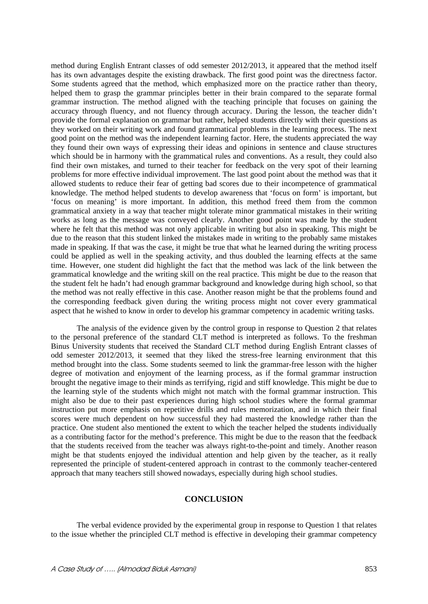method during English Entrant classes of odd semester 2012/2013, it appeared that the method itself has its own advantages despite the existing drawback. The first good point was the directness factor. Some students agreed that the method, which emphasized more on the practice rather than theory, helped them to grasp the grammar principles better in their brain compared to the separate formal grammar instruction. The method aligned with the teaching principle that focuses on gaining the accuracy through fluency, and not fluency through accuracy. During the lesson, the teacher didn't provide the formal explanation on grammar but rather, helped students directly with their questions as they worked on their writing work and found grammatical problems in the learning process. The next good point on the method was the independent learning factor. Here, the students appreciated the way they found their own ways of expressing their ideas and opinions in sentence and clause structures which should be in harmony with the grammatical rules and conventions. As a result, they could also find their own mistakes, and turned to their teacher for feedback on the very spot of their learning problems for more effective individual improvement. The last good point about the method was that it allowed students to reduce their fear of getting bad scores due to their incompetence of grammatical knowledge. The method helped students to develop awareness that 'focus on form' is important, but 'focus on meaning' is more important. In addition, this method freed them from the common grammatical anxiety in a way that teacher might tolerate minor grammatical mistakes in their writing works as long as the message was conveyed clearly. Another good point was made by the student where he felt that this method was not only applicable in writing but also in speaking. This might be due to the reason that this student linked the mistakes made in writing to the probably same mistakes made in speaking. If that was the case, it might be true that what he learned during the writing process could be applied as well in the speaking activity, and thus doubled the learning effects at the same time. However, one student did highlight the fact that the method was lack of the link between the grammatical knowledge and the writing skill on the real practice. This might be due to the reason that the student felt he hadn't had enough grammar background and knowledge during high school, so that the method was not really effective in this case. Another reason might be that the problems found and the corresponding feedback given during the writing process might not cover every grammatical aspect that he wished to know in order to develop his grammar competency in academic writing tasks.

The analysis of the evidence given by the control group in response to Question 2 that relates to the personal preference of the standard CLT method is interpreted as follows. To the freshman Binus University students that received the Standard CLT method during English Entrant classes of odd semester 2012/2013, it seemed that they liked the stress-free learning environment that this method brought into the class. Some students seemed to link the grammar-free lesson with the higher degree of motivation and enjoyment of the learning process, as if the formal grammar instruction brought the negative image to their minds as terrifying, rigid and stiff knowledge. This might be due to the learning style of the students which might not match with the formal grammar instruction. This might also be due to their past experiences during high school studies where the formal grammar instruction put more emphasis on repetitive drills and rules memorization, and in which their final scores were much dependent on how successful they had mastered the knowledge rather than the practice. One student also mentioned the extent to which the teacher helped the students individually as a contributing factor for the method's preference. This might be due to the reason that the feedback that the students received from the teacher was always right-to-the-point and timely. Another reason might be that students enjoyed the individual attention and help given by the teacher, as it really represented the principle of student-centered approach in contrast to the commonly teacher-centered approach that many teachers still showed nowadays, especially during high school studies.

# **CONCLUSION**

The verbal evidence provided by the experimental group in response to Question 1 that relates to the issue whether the principled CLT method is effective in developing their grammar competency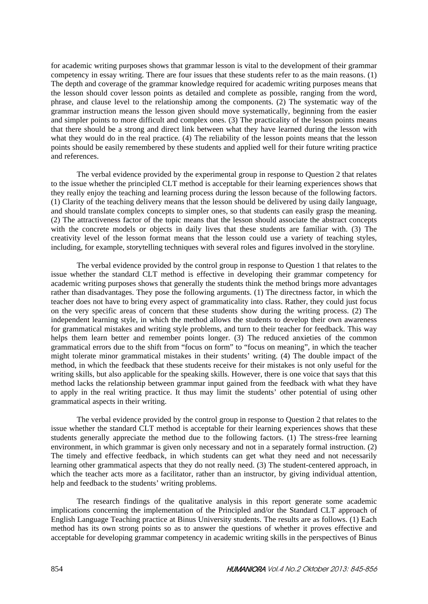for academic writing purposes shows that grammar lesson is vital to the development of their grammar competency in essay writing. There are four issues that these students refer to as the main reasons. (1) The depth and coverage of the grammar knowledge required for academic writing purposes means that the lesson should cover lesson points as detailed and complete as possible, ranging from the word, phrase, and clause level to the relationship among the components. (2) The systematic way of the grammar instruction means the lesson given should move systematically, beginning from the easier and simpler points to more difficult and complex ones. (3) The practicality of the lesson points means that there should be a strong and direct link between what they have learned during the lesson with what they would do in the real practice. (4) The reliability of the lesson points means that the lesson points should be easily remembered by these students and applied well for their future writing practice and references.

The verbal evidence provided by the experimental group in response to Question 2 that relates to the issue whether the principled CLT method is acceptable for their learning experiences shows that they really enjoy the teaching and learning process during the lesson because of the following factors. (1) Clarity of the teaching delivery means that the lesson should be delivered by using daily language, and should translate complex concepts to simpler ones, so that students can easily grasp the meaning. (2) The attractiveness factor of the topic means that the lesson should associate the abstract concepts with the concrete models or objects in daily lives that these students are familiar with. (3) The creativity level of the lesson format means that the lesson could use a variety of teaching styles, including, for example, storytelling techniques with several roles and figures involved in the storyline.

The verbal evidence provided by the control group in response to Question 1 that relates to the issue whether the standard CLT method is effective in developing their grammar competency for academic writing purposes shows that generally the students think the method brings more advantages rather than disadvantages. They pose the following arguments. (1) The directness factor, in which the teacher does not have to bring every aspect of grammaticality into class. Rather, they could just focus on the very specific areas of concern that these students show during the writing process. (2) The independent learning style, in which the method allows the students to develop their own awareness for grammatical mistakes and writing style problems, and turn to their teacher for feedback. This way helps them learn better and remember points longer. (3) The reduced anxieties of the common grammatical errors due to the shift from "focus on form" to "focus on meaning", in which the teacher might tolerate minor grammatical mistakes in their students' writing. (4) The double impact of the method, in which the feedback that these students receive for their mistakes is not only useful for the writing skills, but also applicable for the speaking skills. However, there is one voice that says that this method lacks the relationship between grammar input gained from the feedback with what they have to apply in the real writing practice. It thus may limit the students' other potential of using other grammatical aspects in their writing.

The verbal evidence provided by the control group in response to Question 2 that relates to the issue whether the standard CLT method is acceptable for their learning experiences shows that these students generally appreciate the method due to the following factors. (1) The stress-free learning environment, in which grammar is given only necessary and not in a separately formal instruction. (2) The timely and effective feedback, in which students can get what they need and not necessarily learning other grammatical aspects that they do not really need. (3) The student-centered approach, in which the teacher acts more as a facilitator, rather than an instructor, by giving individual attention, help and feedback to the students' writing problems.

The research findings of the qualitative analysis in this report generate some academic implications concerning the implementation of the Principled and/or the Standard CLT approach of English Language Teaching practice at Binus University students. The results are as follows. (1) Each method has its own strong points so as to answer the questions of whether it proves effective and acceptable for developing grammar competency in academic writing skills in the perspectives of Binus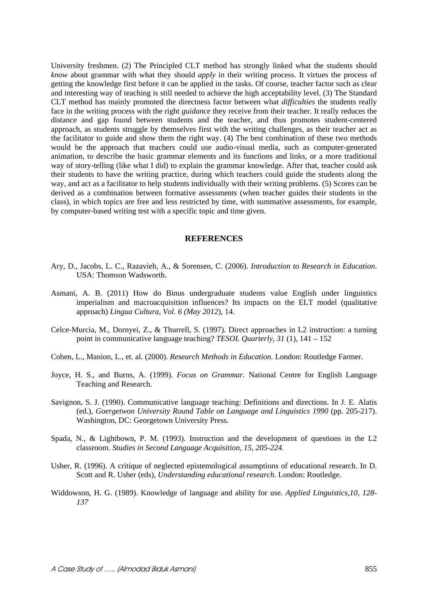University freshmen. (2) The Principled CLT method has strongly linked what the students should *know* about grammar with what they should *apply* in their writing process. It virtues the process of getting the knowledge first before it can be applied in the tasks. Of course, teacher factor such as clear and interesting way of teaching is still needed to achieve the high acceptability level. (3) The Standard CLT method has mainly promoted the directness factor between what *difficulties* the students really face in the writing process with the right *guidance* they receive from their teacher. It really reduces the distance and gap found between students and the teacher, and thus promotes student-centered approach, as students struggle by themselves first with the writing challenges, as their teacher act as the facilitator to guide and show them the right way. (4) The best combination of these two methods would be the approach that teachers could use audio-visual media, such as computer-generated animation, to describe the basic grammar elements and its functions and links, or a more traditional way of story-telling (like what I did) to explain the grammar knowledge. After that, teacher could ask their students to have the writing practice, during which teachers could guide the students along the way, and act as a facilitator to help students individually with their writing problems. (5) Scores can be derived as a combination between formative assessments (when teacher guides their students in the class), in which topics are free and less restricted by time, with summative assessments, for example, by computer-based writing test with a specific topic and time given.

### **REFERENCES**

- Ary, D., Jacobs, L. C., Razavieh, A., & Sorensen, C. (2006). *Introduction to Research in Education*. USA: Thomson Wadsworth.
- Asmani, A. B. (2011) How do Binus undergraduate students value English under linguistics imperialism and macroacquisition influences? Its impacts on the ELT model (qualitative approach) *Lingua Cultura, Vol. 6 (May 2012*), 14.
- Celce-Murcia, M., Dornyei, Z., & Thurrell, S. (1997). Direct approaches in L2 instruction: a turning point in communicative language teaching? *TESOL Quarterly, 31* (1), 141 – 152
- Cohen, L., Manion, L., et. al. (2000). *Research Methods in Education.* London: Routledge Farmer.
- Joyce, H. S., and Burns, A. (1999). *Focus on Grammar.* National Centre for English Language Teaching and Research.
- Savignon, S. J. (1990). Communicative language teaching: Definitions and directions. In J. E. Alatis (ed.), *Goergetwon University Round Table on Language and Linguistics 1990* (pp. 205-217). Washington, DC: Georgetown University Press.
- Spada, N., & Lightbown, P. M. (1993). Instruction and the development of questions in the L2 classroom. *Studies in Second Language Acquisition, 15, 205-224.*
- Usher, R. (1996). A critique of neglected epistemological assumptions of educational research. In D. Scott and R. Usher (eds), *Understanding educational research.* London: Routledge*.*
- Widdowson, H. G. (1989). Knowledge of language and ability for use. *Applied Linguistics,10, 128- 137*